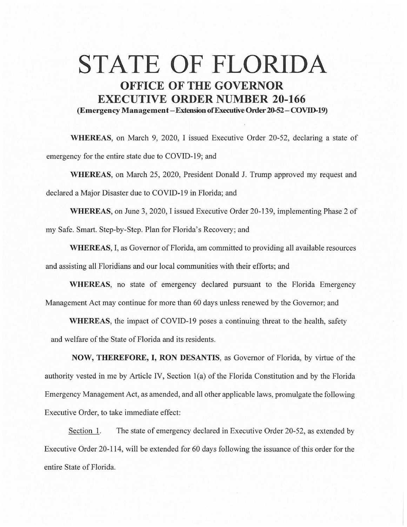## **STATE OF FLORIDA OFFICE OF THE GOVERNOR EXECUTIVE ORDER NUMBER 20-166 (Emergency Management-Extension of Executive Order 20-52-COVID-19)**

**WHEREAS,** on March 9, 2020, I issued Executive Order 20-52, declaring a state of emergency for the entire state due to COVID-19; and

**WHEREAS,** on March 25, 2020, President Donald J. Trump approved my request and declared a Major Disaster due to COVID-19 in Florida; and

**WHEREAS,** on June 3, 2020, I issued Executive Order 20-139, implementing Phase 2 of my Safe. Smart. Step-by-Step. Plan for Florida's Recovery; and

**WHEREAS,** I, as Governor of Florida, am committed to providing all available resources and assisting all Floridians and our local communities with their efforts; and

**WHEREAS,** no state of emergency declared pursuant to the Florida Emergency Management Act may continue for more than 60 days unless renewed by the Governor; and

**WHEREAS,** the impact of COVID-19 poses a continuing threat to the health, safety and welfare of the State of Florida and its residents.

**NOW, THEREFORE, I, RON DESANTIS,** as Governor of Florida, by virtue of the authority vested in me by Article IV, Section l(a) of the Florida Constitution and by the Florida Emergency Management Act, as amended, and all other applicable laws, promulgate the following Executive Order, to take immediate effect:

Section I. The state of emergency declared in Executive Order 20-52, as extended by Executive Order 20-114, will be extended for 60 days following the issuance of this order for the entire State of Florida.